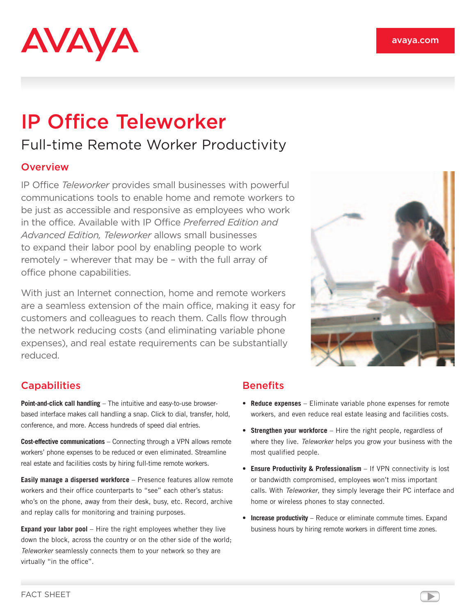# **AVAYA**

## IP Office Teleworker Full-time Remote Worker Productivity

#### **Overview**

IP Office *Teleworker* provides small businesses with powerful communications tools to enable home and remote workers to be just as accessible and responsive as employees who work in the office. Available with IP Office *Preferred Edition and Advanced Edition, Teleworker* allows small businesses to expand their labor pool by enabling people to work remotely – wherever that may be – with the full array of office phone capabilities.

With just an Internet connection, home and remote workers are a seamless extension of the main office, making it easy for customers and colleagues to reach them. Calls flow through the network reducing costs (and eliminating variable phone expenses), and real estate requirements can be substantially reduced.



### **Capabilities**

**Point-and-click call handling** – The intuitive and easy-to-use browserbased interface makes call handling a snap. Click to dial, transfer, hold, conference, and more. Access hundreds of speed dial entries.

**Cost-effective communications** – Connecting through a VPN allows remote workers' phone expenses to be reduced or even eliminated. Streamline real estate and facilities costs by hiring full-time remote workers.

**Easily manage a dispersed workforce** – Presence features allow remote workers and their office counterparts to "see" each other's status: who's on the phone, away from their desk, busy, etc. Record, archive and replay calls for monitoring and training purposes.

**Expand your labor pool** – Hire the right employees whether they live down the block, across the country or on the other side of the world; *Teleworker* seamlessly connects them to your network so they are virtually "in the office".

#### **Benefits**

- • **Reduce expenses** Eliminate variable phone expenses for remote workers, and even reduce real estate leasing and facilities costs.
- **Strengthen your workforce** Hire the right people, regardless of where they live. *Teleworker* helps you grow your business with the most qualified people.
- **Ensure Productivity & Professionalism** If VPN connectivity is lost or bandwidth compromised, employees won't miss important calls. With *Teleworker*, they simply leverage their PC interface and home or wireless phones to stay connected.
- **Increase productivity** Reduce or eliminate commute times. Expand business hours by hiring remote workers in different time zones.